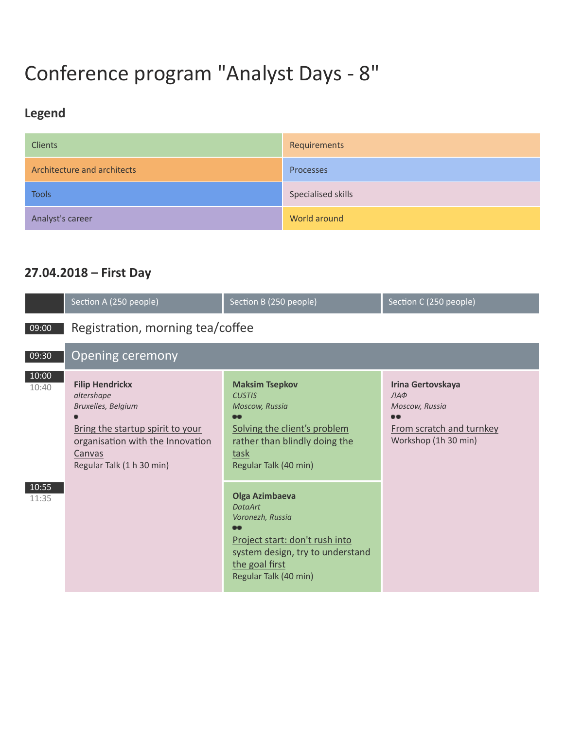# Сonference program "Analyst Days - 8"

## **Legend**

| <b>Clients</b>              | Requirements       |
|-----------------------------|--------------------|
| Architecture and architects | Processes          |
| <b>Tools</b>                | Specialised skills |
| Analyst's career            | World around       |

#### **27.04.2018 – First Day**

|                | Section A (250 people)                                                                                                                                                    | Section B (250 people)                                                                                                                                                         | Section C (250 people)                                                                             |
|----------------|---------------------------------------------------------------------------------------------------------------------------------------------------------------------------|--------------------------------------------------------------------------------------------------------------------------------------------------------------------------------|----------------------------------------------------------------------------------------------------|
| 09:00          | Registration, morning tea/coffee                                                                                                                                          |                                                                                                                                                                                |                                                                                                    |
| 09:30          | <b>Opening ceremony</b>                                                                                                                                                   |                                                                                                                                                                                |                                                                                                    |
| 10:00<br>10:40 | <b>Filip Hendrickx</b><br>altershape<br>Bruxelles, Belgium<br>Bring the startup spirit to your<br>organisation with the Innovation<br>Canvas<br>Regular Talk (1 h 30 min) | <b>Maksim Tsepkov</b><br><b>CUSTIS</b><br>Moscow, Russia<br>$\bullet\bullet$<br>Solving the client's problem<br>rather than blindly doing the<br>task<br>Regular Talk (40 min) | Irina Gertovskaya<br>ЛАФ<br>Moscow, Russia<br><br>From scratch and turnkey<br>Workshop (1h 30 min) |
| 10:55<br>11:35 |                                                                                                                                                                           | <b>Olga Azimbaeva</b><br><b>DataArt</b><br>Voronezh, Russia<br>Project start: don't rush into<br>system design, try to understand<br>the goal first<br>Regular Talk (40 min)   |                                                                                                    |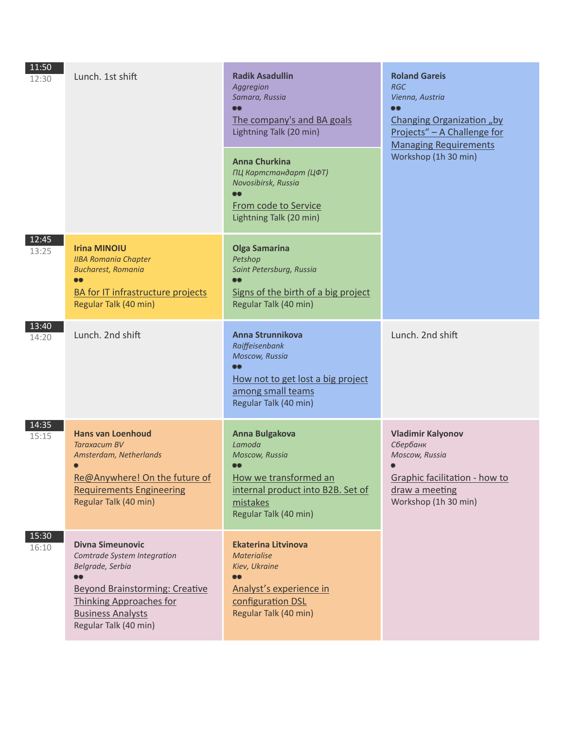| 11:50<br>12:30 | Lunch. 1st shift                                                                                                                                                                                           | <b>Radik Asadullin</b><br>Aggregion<br>Samara, Russia<br><br>The company's and BA goals<br>Lightning Talk (20 min)<br><b>Anna Churkina</b><br>ПЦ Картстандарт (ЦФТ)<br>Novosibirsk, Russia<br><br><b>From code to Service</b><br>Lightning Talk (20 min) | <b>Roland Gareis</b><br><b>RGC</b><br>Vienna, Austria<br><b></b><br>Changing Organization "by<br>Projects" - A Challenge for<br><b>Managing Requirements</b><br>Workshop (1h 30 min) |
|----------------|------------------------------------------------------------------------------------------------------------------------------------------------------------------------------------------------------------|----------------------------------------------------------------------------------------------------------------------------------------------------------------------------------------------------------------------------------------------------------|--------------------------------------------------------------------------------------------------------------------------------------------------------------------------------------|
| 12:45<br>13:25 | <b>Irina MINOIU</b><br><b>IIBA Romania Chapter</b><br><b>Bucharest, Romania</b><br><b>08</b><br><b>BA for IT infrastructure projects</b><br>Regular Talk (40 min)                                          | <b>Olga Samarina</b><br>Petshop<br>Saint Petersburg, Russia<br><br>Signs of the birth of a big project<br>Regular Talk (40 min)                                                                                                                          |                                                                                                                                                                                      |
| 13:40<br>14:20 | Lunch. 2nd shift                                                                                                                                                                                           | Anna Strunnikova<br>Raiffeisenbank<br>Moscow, Russia<br>66<br>How not to get lost a big project<br>among small teams<br>Regular Talk (40 min)                                                                                                            | Lunch. 2nd shift                                                                                                                                                                     |
| 14:35<br>15:15 | <b>Hans van Loenhoud</b><br><b>Taraxacum BV</b><br>Amsterdam, Netherlands<br>Re@Anywhere! On the future of<br><b>Requirements Engineering</b><br>Regular Talk (40 min)                                     | <b>Anna Bulgakova</b><br>Lamoda<br>Moscow, Russia<br>How we transformed an<br>internal product into B2B. Set of<br>mistakes<br>Regular Talk (40 min)                                                                                                     | <b>Vladimir Kalyonov</b><br>Сбербанк<br>Moscow, Russia<br>Graphic facilitation - how to<br>draw a meeting<br>Workshop (1h 30 min)                                                    |
| 15:30<br>16:10 | <b>Divna Simeunovic</b><br>Comtrade System Integration<br>Belgrade, Serbia<br><b>Beyond Brainstorming: Creative</b><br><b>Thinking Approaches for</b><br><b>Business Analysts</b><br>Regular Talk (40 min) | <b>Ekaterina Litvinova</b><br><b>Materialise</b><br>Kiev, Ukraine<br><br>Analyst's experience in<br>configuration DSL<br>Regular Talk (40 min)                                                                                                           |                                                                                                                                                                                      |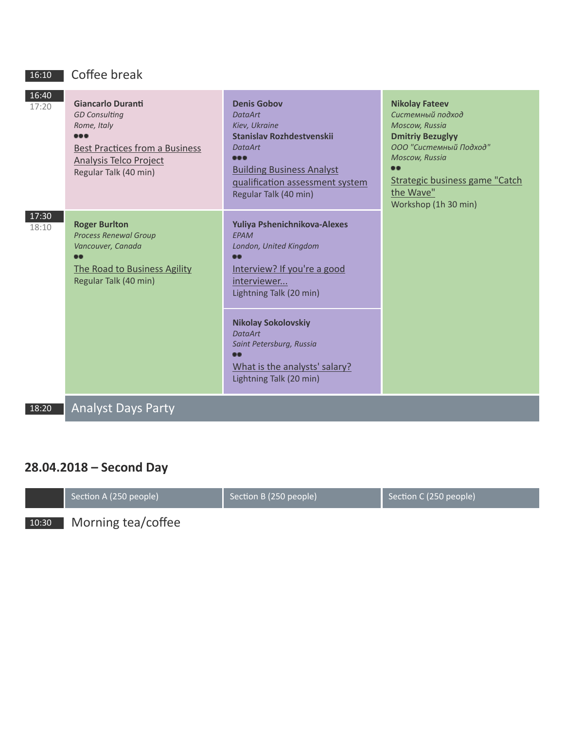### 16:10 Coffee break

| 16:40<br>17:20 | <b>Giancarlo Duranti</b><br><b>GD Consulting</b><br>Rome, Italy<br><b>Best Practices from a Business</b><br><b>Analysis Telco Project</b><br>Regular Talk (40 min) | <b>Denis Gobov</b><br><b>DataArt</b><br>Kiev, Ukraine<br><b>Stanislav Rozhdestvenskij</b><br><b>DataArt</b><br><b></b><br><b>Building Business Analyst</b><br>qualification assessment system<br>Regular Talk (40 min) | <b>Nikolay Fateev</b><br>Системный подход<br>Moscow, Russia<br><b>Dmitriy Bezuglyy</b><br>ООО "Системный Подход"<br>Moscow, Russia<br><br><b>Strategic business game "Catch</b><br>the Wave"<br>Workshop (1h 30 min) |
|----------------|--------------------------------------------------------------------------------------------------------------------------------------------------------------------|------------------------------------------------------------------------------------------------------------------------------------------------------------------------------------------------------------------------|----------------------------------------------------------------------------------------------------------------------------------------------------------------------------------------------------------------------|
| 17:30<br>18:10 | <b>Roger Burlton</b><br><b>Process Renewal Group</b><br>Vancouver, Canada<br><br>The Road to Business Agility<br>Regular Talk (40 min)                             | Yuliya Pshenichnikova-Alexes<br><b>FPAM</b><br>London, United Kingdom<br>$\bullet$<br>Interview? If you're a good<br>interviewer<br>Lightning Talk (20 min)                                                            |                                                                                                                                                                                                                      |
|                |                                                                                                                                                                    | <b>Nikolay Sokolovskiy</b><br><b>DataArt</b><br>Saint Petersburg, Russia<br>œ<br>What is the analysts' salary?<br>Lightning Talk (20 min)                                                                              |                                                                                                                                                                                                                      |
| 18:20          | <b>Analyst Days Party</b>                                                                                                                                          |                                                                                                                                                                                                                        |                                                                                                                                                                                                                      |

### **28.04.2018 – Second Day**

|       | Section A (250 people) | Section B (250 people) | Section C (250 people) |
|-------|------------------------|------------------------|------------------------|
| 10:30 | Morning tea/coffee     |                        |                        |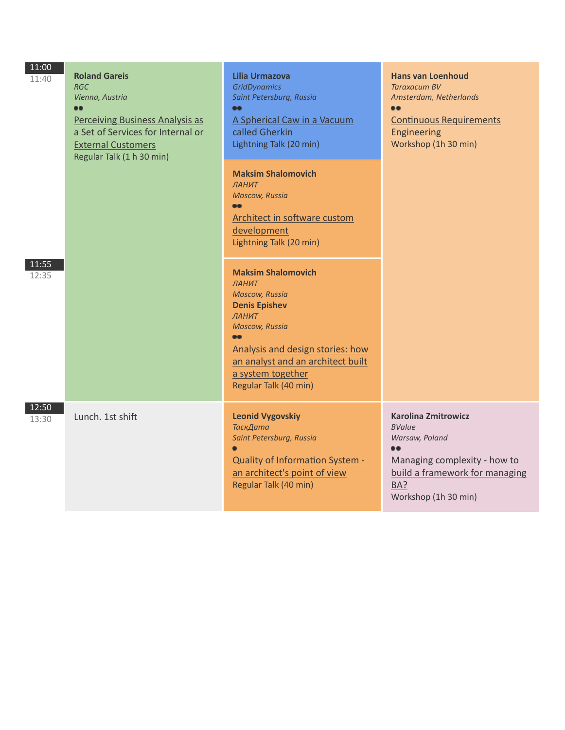| 11:00<br>11:40 | <b>Roland Gareis</b><br><b>RGC</b><br>Vienna, Austria<br>$\bullet\bullet$<br><b>Perceiving Business Analysis as</b><br>a Set of Services for Internal or<br><b>External Customers</b><br>Regular Talk (1 h 30 min) | <b>Lilia Urmazova</b><br><b>GridDynamics</b><br>Saint Petersburg, Russia<br><br>A Spherical Caw in a Vacuum<br>called Gherkin<br>Lightning Talk (20 min)                                                                                         | <b>Hans van Loenhoud</b><br><b>Taraxacum BV</b><br>Amsterdam, Netherlands<br><br><b>Continuous Requirements</b><br><b>Engineering</b><br>Workshop (1h 30 min)                      |
|----------------|--------------------------------------------------------------------------------------------------------------------------------------------------------------------------------------------------------------------|--------------------------------------------------------------------------------------------------------------------------------------------------------------------------------------------------------------------------------------------------|------------------------------------------------------------------------------------------------------------------------------------------------------------------------------------|
|                |                                                                                                                                                                                                                    | <b>Maksim Shalomovich</b><br>ЛАНИТ<br><b>Moscow, Russia</b><br><br>Architect in software custom<br>development<br>Lightning Talk (20 min)                                                                                                        |                                                                                                                                                                                    |
| 11:55<br>12:35 |                                                                                                                                                                                                                    | <b>Maksim Shalomovich</b><br>ЛАНИТ<br><b>Moscow, Russia</b><br><b>Denis Epishev</b><br>ЛАНИТ<br><b>Moscow, Russia</b><br><br>Analysis and design stories: how<br>an analyst and an architect built<br>a system together<br>Regular Talk (40 min) |                                                                                                                                                                                    |
| 12:50<br>13:30 | Lunch. 1st shift                                                                                                                                                                                                   | <b>Leonid Vygovskiy</b><br>ТаскДата<br>Saint Petersburg, Russia<br><b>Quality of Information System -</b><br>an architect's point of view<br>Regular Talk (40 min)                                                                               | <b>Karolina Zmitrowicz</b><br><b>BValue</b><br>Warsaw, Poland<br>$\bullet\bullet$<br>Managing complexity - how to<br>build a framework for managing<br>BA?<br>Workshop (1h 30 min) |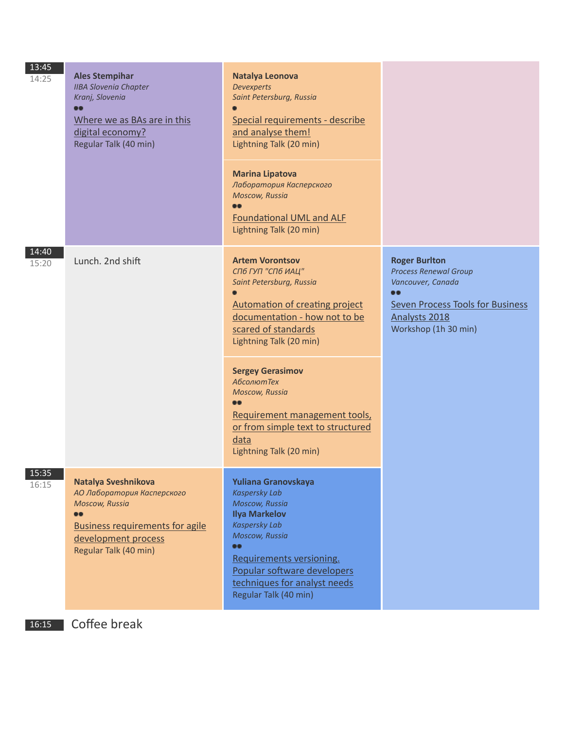| 13:45<br>14:25 | <b>Ales Stempihar</b><br><b>IIBA Slovenia Chapter</b><br>Kranj, Slovenia<br>$\bullet$<br>Where we as BAs are in this<br>digital economy?<br>Regular Talk (40 min)        | Natalya Leonova<br><b>Devexperts</b><br>Saint Petersburg, Russia<br>Special requirements - describe<br>and analyse them!<br>Lightning Talk (20 min)<br><b>Marina Lipatova</b><br>Лаборатория Касперского<br>Moscow, Russia<br><b>Foundational UML and ALF</b><br>Lightning Talk (20 min)                                                                                           |                                                                                                                                                                   |
|----------------|--------------------------------------------------------------------------------------------------------------------------------------------------------------------------|------------------------------------------------------------------------------------------------------------------------------------------------------------------------------------------------------------------------------------------------------------------------------------------------------------------------------------------------------------------------------------|-------------------------------------------------------------------------------------------------------------------------------------------------------------------|
| 14:40<br>15:20 | Lunch. 2nd shift                                                                                                                                                         | <b>Artem Vorontsov</b><br>СПб ГУП "СПб ИАЦ"<br>Saint Petersburg, Russia<br>Automation of creating project<br>documentation - how not to be<br>scared of standards<br>Lightning Talk (20 min)<br><b>Sergey Gerasimov</b><br><b>АбсолютТех</b><br>Moscow, Russia<br><b></b><br>Requirement management tools,<br>or from simple text to structured<br>data<br>Lightning Talk (20 min) | <b>Roger Burlton</b><br><b>Process Renewal Group</b><br>Vancouver, Canada<br><br><b>Seven Process Tools for Business</b><br>Analysts 2018<br>Workshop (1h 30 min) |
| 15:35<br>16:15 | Natalya Sveshnikova<br>АО Лаборатория Касперского<br><b>Moscow, Russia</b><br><br><b>Business requirements for agile</b><br>development process<br>Regular Talk (40 min) | Yuliana Granovskaya<br><b>Kaspersky Lab</b><br>Moscow, Russia<br><b>Ilya Markelov</b><br><b>Kaspersky Lab</b><br>Moscow, Russia<br><br>Requirements versioning.<br>Popular software developers<br>techniques for analyst needs<br>Regular Talk (40 min)                                                                                                                            |                                                                                                                                                                   |
| 16:15          | Coffee break                                                                                                                                                             |                                                                                                                                                                                                                                                                                                                                                                                    |                                                                                                                                                                   |